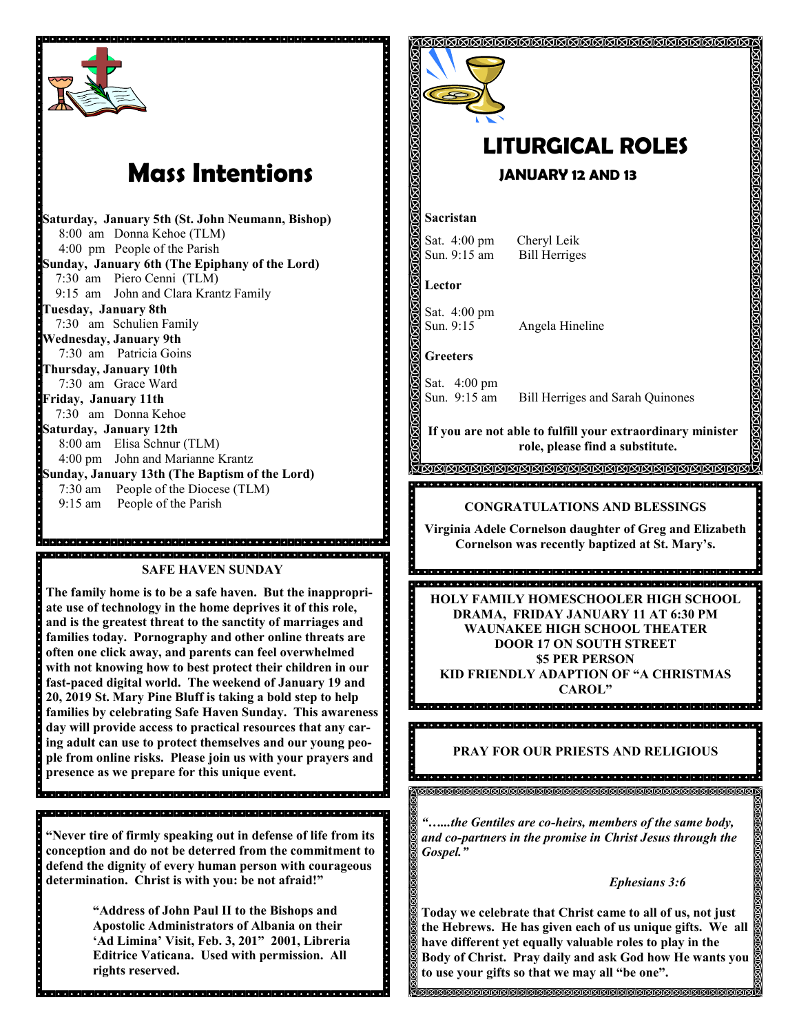